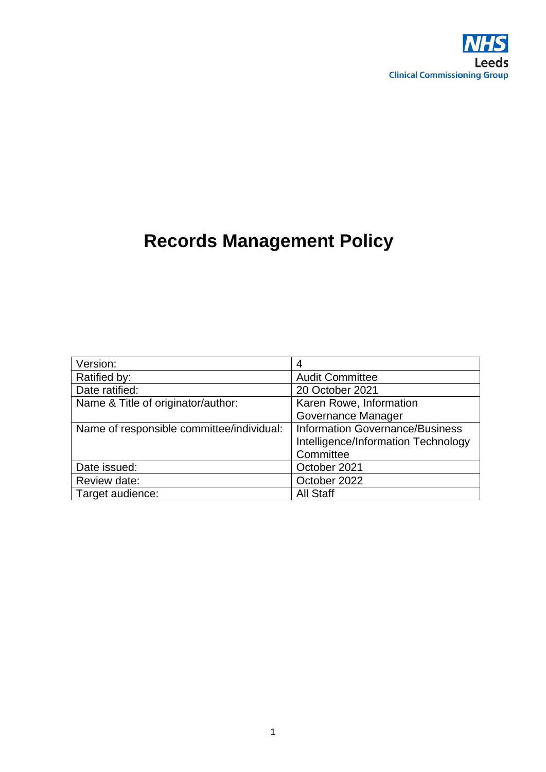

# **Records Management Policy**

| Version:                                  | 4                                      |
|-------------------------------------------|----------------------------------------|
| Ratified by:                              | <b>Audit Committee</b>                 |
| Date ratified:                            | 20 October 2021                        |
| Name & Title of originator/author:        | Karen Rowe, Information                |
|                                           | Governance Manager                     |
| Name of responsible committee/individual: | <b>Information Governance/Business</b> |
|                                           | Intelligence/Information Technology    |
|                                           | Committee                              |
| Date issued:                              | October 2021                           |
| Review date:                              | October 2022                           |
| Target audience:                          | <b>All Staff</b>                       |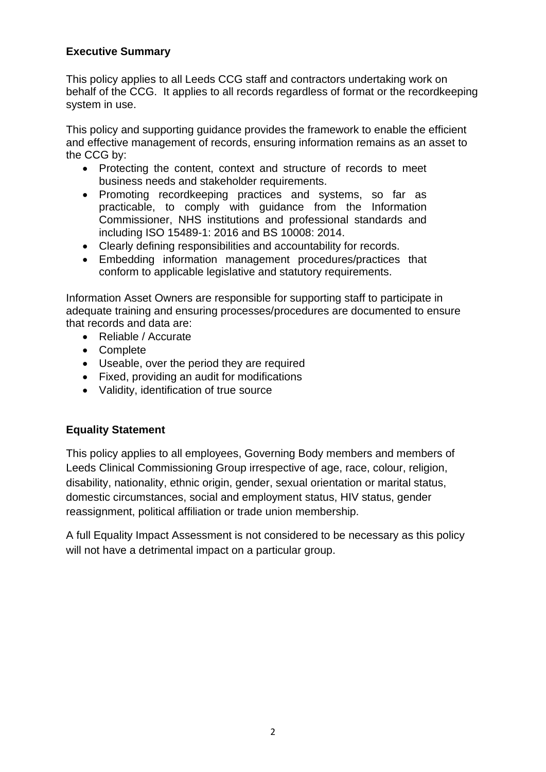## **Executive Summary**

This policy applies to all Leeds CCG staff and contractors undertaking work on behalf of the CCG. It applies to all records regardless of format or the recordkeeping system in use.

This policy and supporting guidance provides the framework to enable the efficient and effective management of records, ensuring information remains as an asset to the CCG by:

- Protecting the content, context and structure of records to meet business needs and stakeholder requirements.
- Promoting recordkeeping practices and systems, so far as practicable, to comply with guidance from the Information Commissioner, NHS institutions and professional standards and including ISO 15489-1: 2016 and BS 10008: 2014.
- Clearly defining responsibilities and accountability for records.
- Embedding information management procedures/practices that conform to applicable legislative and statutory requirements.

Information Asset Owners are responsible for supporting staff to participate in adequate training and ensuring processes/procedures are documented to ensure that records and data are:

- Reliable / Accurate
- Complete
- Useable, over the period they are required
- Fixed, providing an audit for modifications
- Validity, identification of true source

## **Equality Statement**

This policy applies to all employees, Governing Body members and members of Leeds Clinical Commissioning Group irrespective of age, race, colour, religion, disability, nationality, ethnic origin, gender, sexual orientation or marital status, domestic circumstances, social and employment status, HIV status, gender reassignment, political affiliation or trade union membership.

A full Equality Impact Assessment is not considered to be necessary as this policy will not have a detrimental impact on a particular group.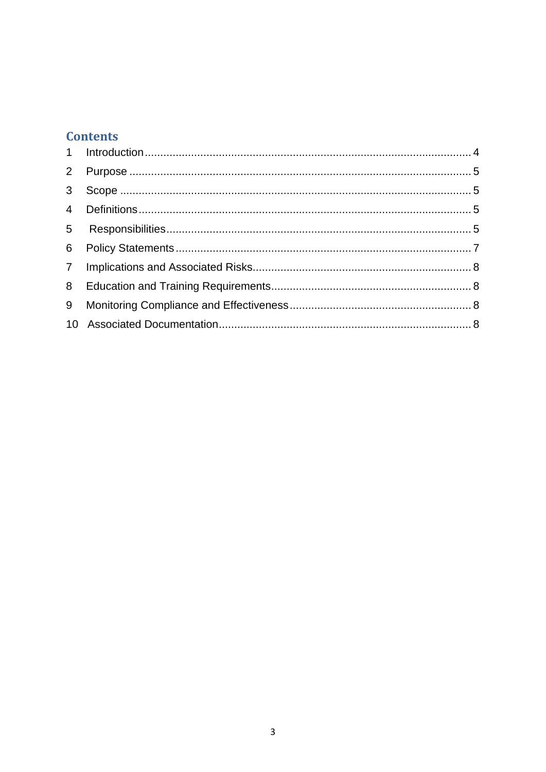## **Contents**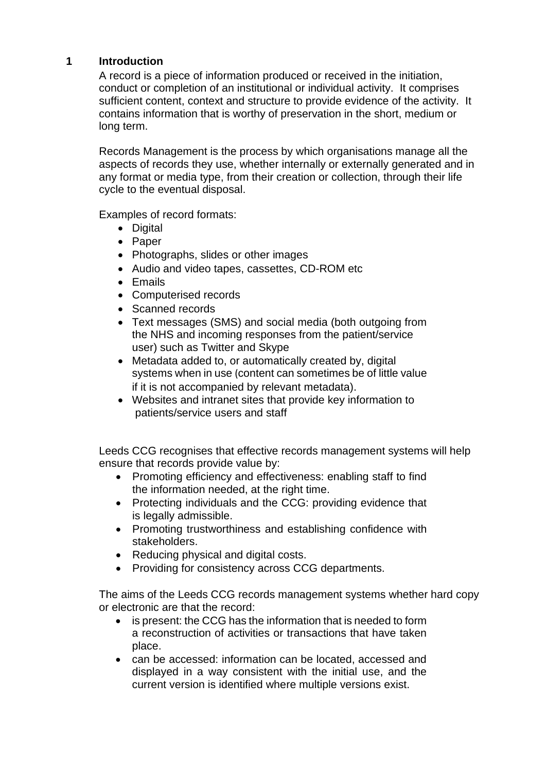## <span id="page-3-0"></span>**1 Introduction**

A record is a piece of information produced or received in the initiation, conduct or completion of an institutional or individual activity. It comprises sufficient content, context and structure to provide evidence of the activity. It contains information that is worthy of preservation in the short, medium or long term.

Records Management is the process by which organisations manage all the aspects of records they use, whether internally or externally generated and in any format or media type, from their creation or collection, through their life cycle to the eventual disposal.

Examples of record formats:

- Digital
- Paper
- Photographs, slides or other images
- Audio and video tapes, cassettes, CD-ROM etc
- Emails
- Computerised records
- Scanned records
- Text messages (SMS) and social media (both outgoing from the NHS and incoming responses from the patient/service user) such as Twitter and Skype
- Metadata added to, or automatically created by, digital systems when in use (content can sometimes be of little value if it is not accompanied by relevant metadata).
- Websites and intranet sites that provide key information to patients/service users and staff

Leeds CCG recognises that effective records management systems will help ensure that records provide value by:

- Promoting efficiency and effectiveness: enabling staff to find the information needed, at the right time.
- Protecting individuals and the CCG: providing evidence that is legally admissible.
- Promoting trustworthiness and establishing confidence with stakeholders.
- Reducing physical and digital costs.
- Providing for consistency across CCG departments.

The aims of the Leeds CCG records management systems whether hard copy or electronic are that the record:

- is present: the CCG has the information that is needed to form a reconstruction of activities or transactions that have taken place.
- can be accessed: information can be located, accessed and displayed in a way consistent with the initial use, and the current version is identified where multiple versions exist.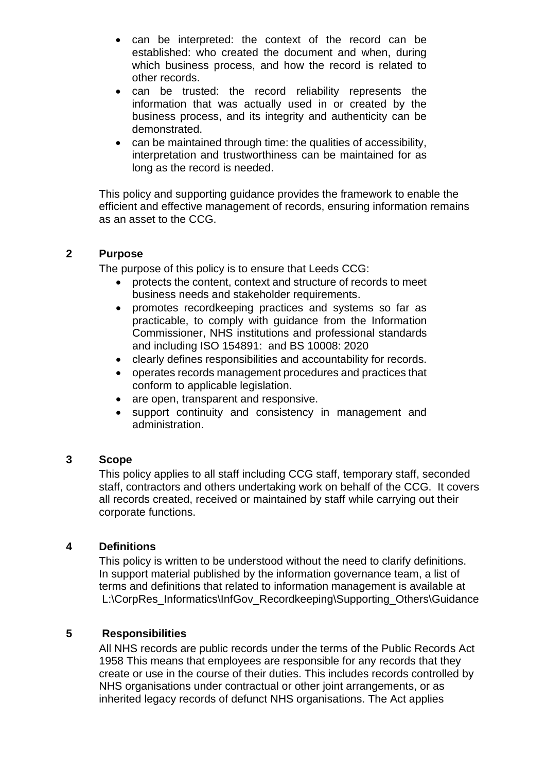- can be interpreted: the context of the record can be established: who created the document and when, during which business process, and how the record is related to other records.
- can be trusted: the record reliability represents the information that was actually used in or created by the business process, and its integrity and authenticity can be demonstrated.
- can be maintained through time: the qualities of accessibility, interpretation and trustworthiness can be maintained for as long as the record is needed.

This policy and supporting guidance provides the framework to enable the efficient and effective management of records, ensuring information remains as an asset to the CCG.

#### <span id="page-4-0"></span>**2 Purpose**

The purpose of this policy is to ensure that Leeds CCG:

- protects the content, context and structure of records to meet business needs and stakeholder requirements.
- promotes recordkeeping practices and systems so far as practicable, to comply with guidance from the Information Commissioner, NHS institutions and professional standards and including ISO 154891: and BS 10008: 2020
- clearly defines responsibilities and accountability for records.
- operates records management procedures and practices that conform to applicable legislation.
- are open, transparent and responsive.
- support continuity and consistency in management and administration.

#### <span id="page-4-1"></span>**3 Scope**

This policy applies to all staff including CCG staff, temporary staff, seconded staff, contractors and others undertaking work on behalf of the CCG. It covers all records created, received or maintained by staff while carrying out their corporate functions.

#### <span id="page-4-2"></span>**4 Definitions**

This policy is written to be understood without the need to clarify definitions. In support material published by the information governance team, a list of terms and definitions that related to information management is available at L:\CorpRes\_Informatics\InfGov\_Recordkeeping\Supporting\_Others\Guidance

#### <span id="page-4-3"></span>**5 Responsibilities**

All NHS records are public records under the terms of the Public Records Act 1958 This means that employees are responsible for any records that they create or use in the course of their duties. This includes records controlled by NHS organisations under contractual or other joint arrangements, or as inherited legacy records of defunct NHS organisations. The Act applies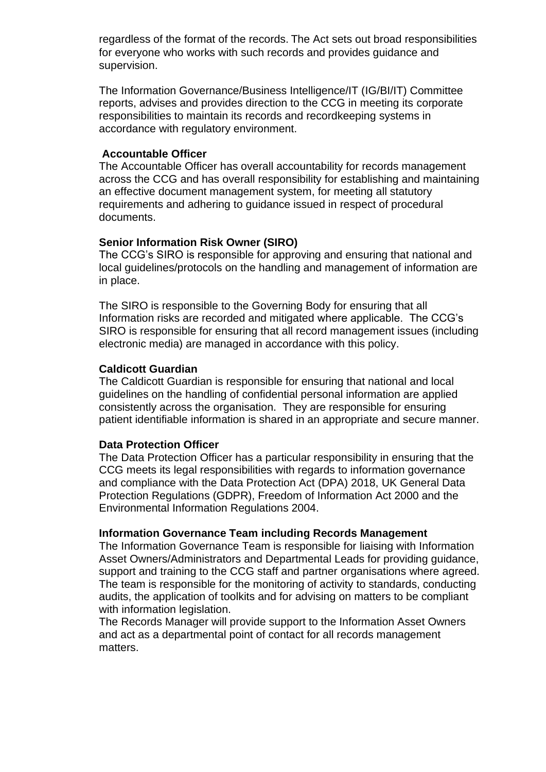regardless of the format of the records. The Act sets out broad responsibilities for everyone who works with such records and provides guidance and supervision.

The Information Governance/Business Intelligence/IT (IG/BI/IT) Committee reports, advises and provides direction to the CCG in meeting its corporate responsibilities to maintain its records and recordkeeping systems in accordance with regulatory environment.

#### **Accountable Officer**

The Accountable Officer has overall accountability for records management across the CCG and has overall responsibility for establishing and maintaining an effective document management system, for meeting all statutory requirements and adhering to guidance issued in respect of procedural documents.

#### **Senior Information Risk Owner (SIRO)**

The CCG's SIRO is responsible for approving and ensuring that national and local guidelines/protocols on the handling and management of information are in place.

The SIRO is responsible to the Governing Body for ensuring that all Information risks are recorded and mitigated where applicable. The CCG's SIRO is responsible for ensuring that all record management issues (including electronic media) are managed in accordance with this policy.

#### **Caldicott Guardian**

The Caldicott Guardian is responsible for ensuring that national and local guidelines on the handling of confidential personal information are applied consistently across the organisation. They are responsible for ensuring patient identifiable information is shared in an appropriate and secure manner.

#### **Data Protection Officer**

The Data Protection Officer has a particular responsibility in ensuring that the CCG meets its legal responsibilities with regards to information governance and compliance with the Data Protection Act (DPA) 2018, UK General Data Protection Regulations (GDPR), Freedom of Information Act 2000 and the Environmental Information Regulations 2004.

#### **Information Governance Team including Records Management**

The Information Governance Team is responsible for liaising with Information Asset Owners/Administrators and Departmental Leads for providing guidance, support and training to the CCG staff and partner organisations where agreed. The team is responsible for the monitoring of activity to standards, conducting audits, the application of toolkits and for advising on matters to be compliant with information legislation.

The Records Manager will provide support to the Information Asset Owners and act as a departmental point of contact for all records management matters.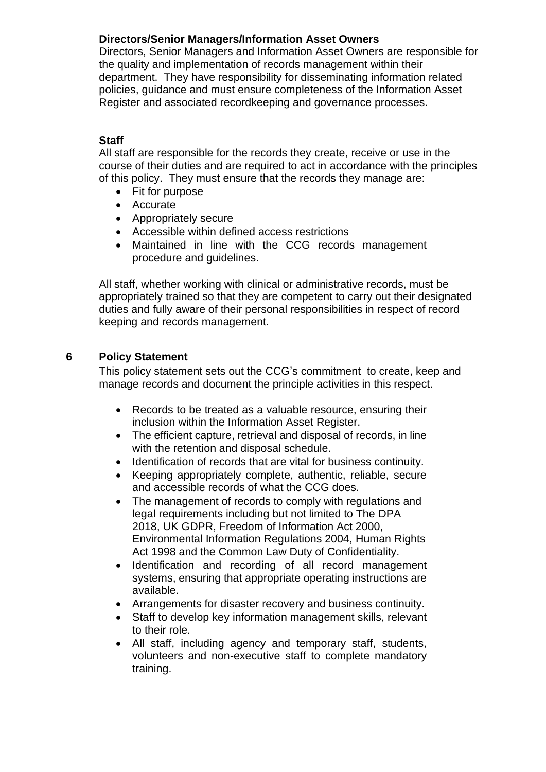## **Directors/Senior Managers/Information Asset Owners**

Directors, Senior Managers and Information Asset Owners are responsible for the quality and implementation of records management within their department. They have responsibility for disseminating information related policies, guidance and must ensure completeness of the Information Asset Register and associated recordkeeping and governance processes.

## **Staff**

All staff are responsible for the records they create, receive or use in the course of their duties and are required to act in accordance with the principles of this policy. They must ensure that the records they manage are:

- Fit for purpose
- Accurate
- Appropriately secure
- Accessible within defined access restrictions
- Maintained in line with the CCG records management procedure and guidelines.

All staff, whether working with clinical or administrative records, must be appropriately trained so that they are competent to carry out their designated duties and fully aware of their personal responsibilities in respect of record keeping and records management.

## <span id="page-6-0"></span>**6 Policy Statement**

This policy statement sets out the CCG's commitment to create, keep and manage records and document the principle activities in this respect.

- Records to be treated as a valuable resource, ensuring their inclusion within the Information Asset Register.
- The efficient capture, retrieval and disposal of records, in line with the retention and disposal schedule.
- Identification of records that are vital for business continuity.
- Keeping appropriately complete, authentic, reliable, secure and accessible records of what the CCG does.
- The management of records to comply with regulations and legal requirements including but not limited to The DPA 2018, UK GDPR, Freedom of Information Act 2000, Environmental Information Regulations 2004, Human Rights Act 1998 and the Common Law Duty of Confidentiality.
- Identification and recording of all record management systems, ensuring that appropriate operating instructions are available.
- Arrangements for disaster recovery and business continuity.
- Staff to develop key information management skills, relevant to their role.
- All staff, including agency and temporary staff, students, volunteers and non-executive staff to complete mandatory training.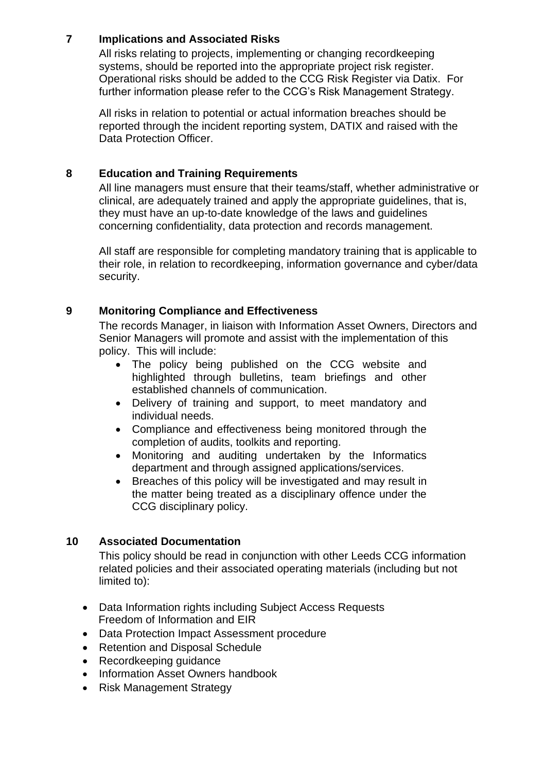## <span id="page-7-0"></span>**7 Implications and Associated Risks**

All risks relating to projects, implementing or changing recordkeeping systems, should be reported into the appropriate project risk register. Operational risks should be added to the CCG Risk Register via Datix. For further information please refer to the CCG's Risk Management Strategy.

All risks in relation to potential or actual information breaches should be reported through the incident reporting system, DATIX and raised with the Data Protection Officer.

## <span id="page-7-1"></span>**8 Education and Training Requirements**

All line managers must ensure that their teams/staff, whether administrative or clinical, are adequately trained and apply the appropriate guidelines, that is, they must have an up-to-date knowledge of the laws and guidelines concerning confidentiality, data protection and records management.

All staff are responsible for completing mandatory training that is applicable to their role, in relation to recordkeeping, information governance and cyber/data security.

## <span id="page-7-2"></span>**9 Monitoring Compliance and Effectiveness**

The records Manager, in liaison with Information Asset Owners, Directors and Senior Managers will promote and assist with the implementation of this policy. This will include:

- The policy being published on the CCG website and highlighted through bulletins, team briefings and other established channels of communication.
- Delivery of training and support, to meet mandatory and individual needs.
- Compliance and effectiveness being monitored through the completion of audits, toolkits and reporting.
- Monitoring and auditing undertaken by the Informatics department and through assigned applications/services.
- Breaches of this policy will be investigated and may result in the matter being treated as a disciplinary offence under the CCG disciplinary policy.

## <span id="page-7-3"></span>**10 Associated Documentation**

This policy should be read in conjunction with other Leeds CCG information related policies and their associated operating materials (including but not limited to):

- Data Information rights including Subject Access Requests Freedom of Information and EIR
- Data Protection Impact Assessment procedure
- Retention and Disposal Schedule
- Recordkeeping guidance
- Information Asset Owners handbook
- Risk Management Strategy